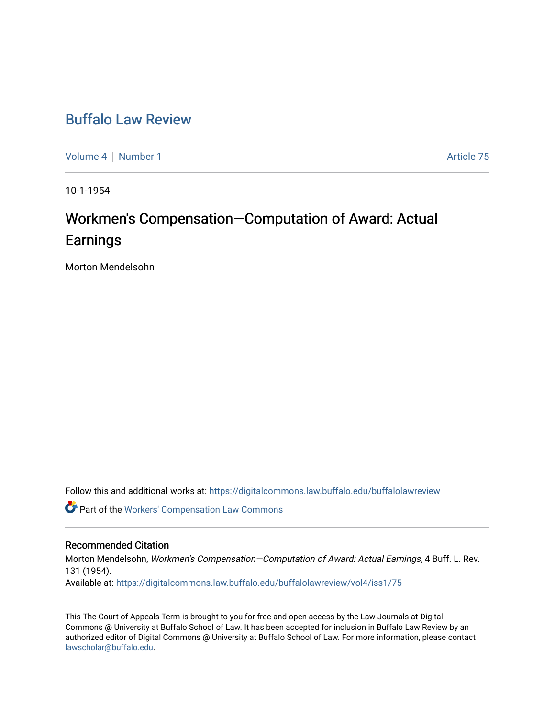# [Buffalo Law Review](https://digitalcommons.law.buffalo.edu/buffalolawreview)

[Volume 4](https://digitalcommons.law.buffalo.edu/buffalolawreview/vol4) | [Number 1](https://digitalcommons.law.buffalo.edu/buffalolawreview/vol4/iss1) Article 75

10-1-1954

# Workmen's Compensation—Computation of Award: Actual **Earnings**

Morton Mendelsohn

Follow this and additional works at: [https://digitalcommons.law.buffalo.edu/buffalolawreview](https://digitalcommons.law.buffalo.edu/buffalolawreview?utm_source=digitalcommons.law.buffalo.edu%2Fbuffalolawreview%2Fvol4%2Fiss1%2F75&utm_medium=PDF&utm_campaign=PDFCoverPages) 

Part of the [Workers' Compensation Law Commons](http://network.bepress.com/hgg/discipline/889?utm_source=digitalcommons.law.buffalo.edu%2Fbuffalolawreview%2Fvol4%2Fiss1%2F75&utm_medium=PDF&utm_campaign=PDFCoverPages)

## Recommended Citation

Morton Mendelsohn, Workmen's Compensation–Computation of Award: Actual Earnings, 4 Buff. L. Rev. 131 (1954). Available at: [https://digitalcommons.law.buffalo.edu/buffalolawreview/vol4/iss1/75](https://digitalcommons.law.buffalo.edu/buffalolawreview/vol4/iss1/75?utm_source=digitalcommons.law.buffalo.edu%2Fbuffalolawreview%2Fvol4%2Fiss1%2F75&utm_medium=PDF&utm_campaign=PDFCoverPages) 

This The Court of Appeals Term is brought to you for free and open access by the Law Journals at Digital Commons @ University at Buffalo School of Law. It has been accepted for inclusion in Buffalo Law Review by an authorized editor of Digital Commons @ University at Buffalo School of Law. For more information, please contact [lawscholar@buffalo.edu](mailto:lawscholar@buffalo.edu).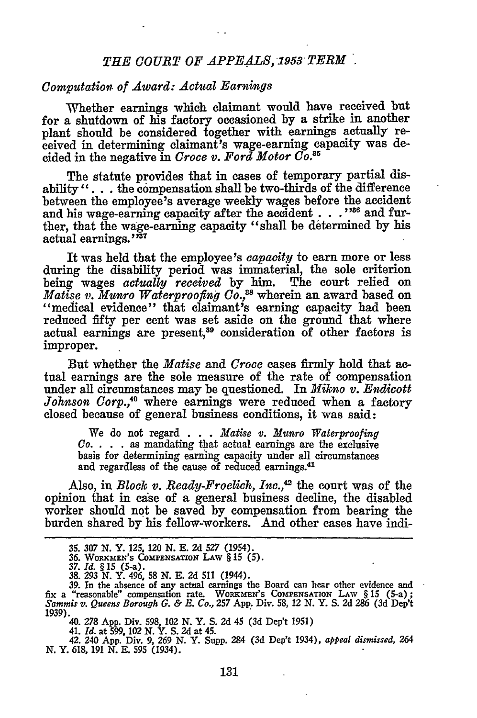### *THE COURT OF APPEALS, 1953 TERM'.*

#### *Computation of Award: Actual Earnings*

Whether earnings which claimant would have received but for a shutdown of his factory occasioned by a strike in another plant should be considered together with earnings actually received in determining claimant's wage-earning capacity was decided in the negative in *Croce v. Ford Motor Co. <sup>5</sup>*

The statute provides that in cases of temporary partial disability **"...** the compensation shall be two-thirds of the difference between the employee's average weekly wages before the accident and his wage-earning capacity after the accident **. . .** "8 and further, that the wage-earning capacity "shall be determined **by** his actual earnings."<sup>37</sup>

It was held that the employee's *capacity* to earn more or less during the disability period was immaterial, the sole criterion being wages *actually received* **by** him. The court relied on *Matise v. Munro Waterproofing Co.,""* wherein an award based on "medical evidence" that claimant's earning capacity had been reduced fifty per cent was set aside on the ground that where actual earnings are present,<sup>39</sup> consideration of other factors is improper.

But whether the *Matise* and *Croce* cases **firmly** hold that actual earnings are the sole measure of the rate of compensation under all circumstances may be questioned. In *Mikno v. Endicott Johnson Corp.,4* where earnings were reduced when a factory closed because of general business conditions, it was said:

We do not regard . . **.** *Matise v. Munro Waterproofing Co.* . **.** . as mandating that actual earnings are the exclusive basis for determining earning capacity under all circumstances and regardless of the cause of reduced earnings.41

Also, in *Block v. Ready-Froelich, Inc.*,<sup>42</sup> the court was of the opinion that in case of a general business decline, the disabled worker should not be saved by compensation from bearing the burden shared by his fellow-workers. **And** other cases have indi-

<sup>35. 307</sup> N. Y. 125, 120 N. E. 2d 527 (1954).<br>36. Workmen's Compensation Law § 15 (5)

*<sup>37.</sup> Id. §* **15** (5-a). **38. 293 N.** Y. 496, **58 N. E. 2d 511** (1944).

<sup>39.</sup> In the absence of any actual earnings the Board can hear other evidence and fix a "reasonable" compensation rate. WORKMEN's COMPENSATION LAW § 15 (5-a); Sammis v. Queens Borough G. & E. Co., 257 App. Div. 58, 12 N. Y. S. 2d 286 (3d Dep'i)<br>1939).<br>40. 278 App. Div. 598. 102 N. Y. S. 2d 45 (3d Dep't 1951)

<sup>41.</sup> *Id.* at **599. 102 N.** Y. **S. 2d** at **45.**

<sup>42. 240</sup> **App.** Div. **9, 269 N.** Y. Supp. **284 (3d** Dep't 1934), *appeal dismissed, 264* **N.** Y. **618, 191 N. E. 595** (1934).